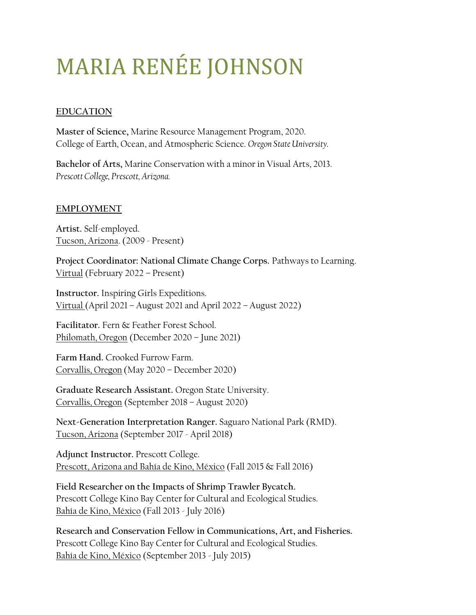# MARIA RENÉE JOHNSON

## **EDUCATION**

**Master of Science,** Marine Resource Management Program, 2020. College of Earth, Ocean, and Atmospheric Science. *Oregon State University.*

**Bachelor of Arts,** Marine Conservation with a minor in Visual Arts, 2013. *Prescott College, Prescott, Arizona.* 

## **EMPLOYMENT**

**Artist.** Self-employed. Tucson, Arizona. (2009 - Present)

**Project Coordinator: National Climate Change Corps.** Pathways to Learning. Virtual (February 2022 – Present)

**Instructor.** Inspiring Girls Expeditions. Virtual (April 2021 – August 2021 and April 2022 – August 2022)

**Facilitator.** Fern & Feather Forest School. Philomath, Oregon (December 2020 – June 2021)

**Farm Hand.** Crooked Furrow Farm. Corvallis, Oregon (May 2020 – December 2020)

**Graduate Research Assistant.** Oregon State University. Corvallis, Oregon (September 2018 – August 2020)

**Next-Generation Interpretation Ranger.** Saguaro National Park (RMD). Tucson, Arizona (September 2017 - April 2018)

**Adjunct Instructor.** Prescott College. Prescott, Arizona and Bahía de Kino, México (Fall 2015 & Fall 2016)

**Field Researcher on the Impacts of Shrimp Trawler Bycatch.**  Prescott College Kino Bay Center for Cultural and Ecological Studies. Bahía de Kino, México (Fall 2013 - July 2016)

**Research and Conservation Fellow in Communications, Art, and Fisheries.**  Prescott College Kino Bay Center for Cultural and Ecological Studies. Bahía de Kino, México (September 2013 - July 2015)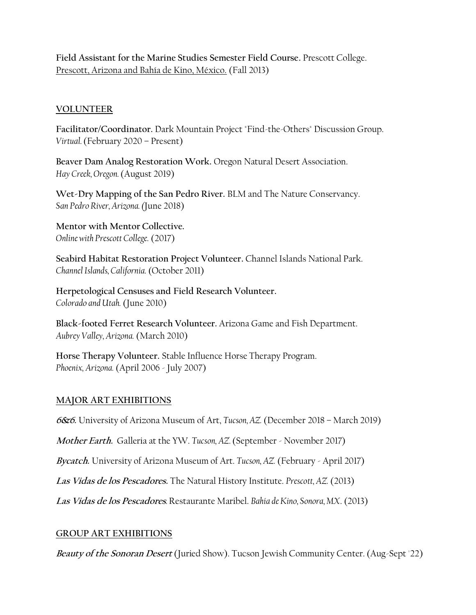**Field Assistant for the Marine Studies Semester Field Course.** Prescott College. Prescott, Arizona and Bahía de Kino, México. (Fall 2013)

#### **VOLUNTEER**

**Facilitator/Coordinator.** Dark Mountain Project "Find-the-Others" Discussion Group. *Virtual.* (February 2020 – Present)

**Beaver Dam Analog Restoration Work.** Oregon Natural Desert Association. *Hay Creek, Oregon.* (August 2019)

**Wet-Dry Mapping of the San Pedro River.** BLM and The Nature Conservancy. *San Pedro River, Arizona. (*June 2018)

**Mentor with Mentor Collective.**  *Online with Prescott College.* (2017)

**Seabird Habitat Restoration Project Volunteer.** Channel Islands National Park. *Channel Islands, California.* (October 2011)

**Herpetological Censuses and Field Research Volunteer.**  *Colorado and Utah.* (June 2010)

**Black-footed Ferret Research Volunteer.** Arizona Game and Fish Department. *Aubrey Valley, Arizona.* (March 2010)

**Horse Therapy Volunteer.** Stable Influence Horse Therapy Program. *Phoenix, Arizona.* (April 2006 - July 2007)

#### **MAJOR ART EXHIBITIONS**

**6&6.** University of Arizona Museum of Art, *Tucson, AZ.* (December 2018 – March 2019)

**Mother Earth.** Galleria at the YW. *Tucson, AZ.* (September - November 2017)

**Bycatch.** University of Arizona Museum of Art. *Tucson, AZ.* (February - April 2017)

**Las Vidas de los Pescadores.** The Natural History Institute. *Prescott, AZ.* (2013)

**Las Vidas de los Pescadores***.*Restaurante Maribel. *Bahía de Kino, Sonora, MX*. (2013)

## **GROUP ART EXHIBITIONS**

**Beauty of the Sonoran Desert** (Juried Show). Tucson Jewish Community Center. (Aug-Sept '22)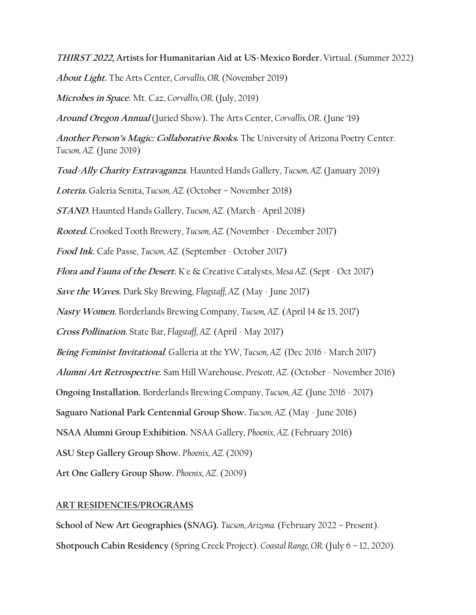**THIRST 2022, Artists for Humanitarian Aid at US-Mexico Border.** Virtual. (Summer 2022)

**About Light.** The Arts Center, *Corvallis, OR.* (November 2019)

**Microbes in Space.** Mt. Caz, *Corvallis, OR.* (July, 2019)

**Around Oregon Annual** (Juried Show)**.** The Arts Center, *Corvallis, OR*. (June '19)

**Another Person's Magic: Collaborative Books.** The University of Arizona Poetry Center. *Tucson, AZ.* (June 2019)

**Toad-Ally Charity Extravaganza.** Haunted Hands Gallery, *Tucson, AZ.* (January 2019)

**Lotería.** Galeria Senita, *Tucson, AZ.* (October – November 2018)

**STAND.** Haunted Hands Gallery, *Tucson, AZ*. (March - April 2018)

**Rooted.** Crooked Tooth Brewery, *Tucson, AZ.* (November - December 2017)

**Food Ink.** Cafe Passe, *Tucson, AZ*. (September - October 2017)

**Flora and Fauna of the Desert.** K'e & Creative Catalysts, *Mesa AZ*. (Sept - Oct 2017)

**Save the Waves.** Dark Sky Brewing, *Flagstaff, AZ.* (May - June 2017)

**Nasty Women.** Borderlands Brewing Company, *Tucson, AZ*. (April 14 & 15, 2017)

**Cross Pollination.** State Bar, *Flagstaff, AZ.* (April - May 2017)

**Being Feminist Invitational**. Galleria at the YW, *Tucson, AZ.* (Dec 2016 - March 2017)

**Alumni Art Retrospective.** Sam Hill Warehouse, *Prescott, AZ*. (October - November 2016)

**Ongoing Installation.** Borderlands Brewing Company, *Tucson, AZ.* (June 2016 - 2017)

**Saguaro National Park Centennial Group Show.** *Tucson, AZ.* (May - June 2016)

**NSAA Alumni Group Exhibition.** NSAA Gallery, *Phoenix, AZ.* (February 2016)

**ASU Step Gallery Group Show.** *Phoenix, AZ.* (2009)

**Art One Gallery Group Show.** *Phoenix, AZ*. (2009)

## **ART RESIDENCIES/PROGRAMS**

**School of New Art Geographies (SNAG).** *Tucson, Arizona.* (February 2022 – Present). **Shotpouch Cabin Residency** (Spring Creek Project). *Coastal Range, OR.* (July 6 – 12, 2020).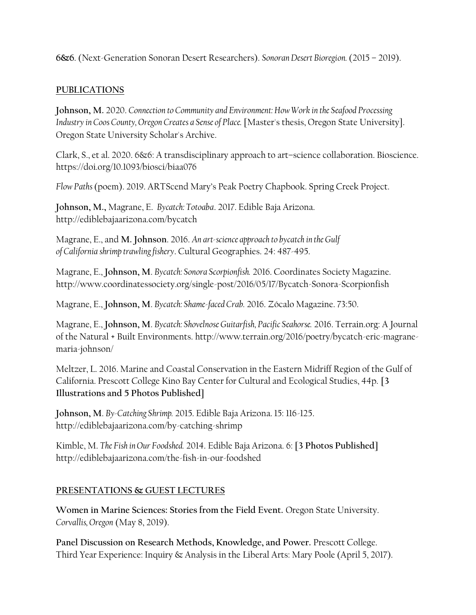**6&6**. (Next-Generation Sonoran Desert Researchers). *Sonoran Desert Bioregion.* (2015 – 2019).

#### **PUBLICATIONS**

**Johnson, M.** 2020. *Connection to Community and Environment: How Work in the Seafood Processing Industry in Coos County, Oregon Creates a Sense of Place.* [Master's thesis, Oregon State University]. Oregon State University Scholar's Archive.

Clark, S., et al. 2020. 6&6: A transdisciplinary approach to art–science collaboration. Bioscience. https://doi.org/10.1093/biosci/biaa076

*Flow Paths*(poem). 2019. ARTScend Mary's Peak Poetry Chapbook. Spring Creek Project.

**Johnson, M.,** Magrane, E. *Bycatch: Totoaba*. 2017. Edible Baja Arizona. http://ediblebajaarizona.com/bycatch

Magrane, E., and **M. Johnson**. 2016. *An art-science approach to bycatch in the Gulf of California shrimp trawling fishery*. Cultural Geographies. 24: 487-495.

Magrane, E., **Johnson, M**. *Bycatch: Sonora Scorpionfish.* 2016. Coordinates Society Magazine. http://www.coordinatessociety.org/single-post/2016/05/17/Bycatch-Sonora-Scorpionfish

Magrane, E., **Johnson, M**. *Bycatch: Shame-faced Crab.* 2016. Zócalo Magazine. 73:50.

Magrane, E., **Johnson, M**. *Bycatch: Shovelnose Guitarfish, Pacific Seahorse.* 2016. Terrain.org: A Journal of the Natural + Built Environments. http://www.terrain.org/2016/poetry/bycatch-eric-magranemaria-johnson/

Meltzer, L. 2016. Marine and Coastal Conservation in the Eastern Midriff Region of the Gulf of California. Prescott College Kino Bay Center for Cultural and Ecological Studies, 44p. **[3 Illustrations and 5 Photos Published]**

**Johnson, M**. *By-Catching Shrimp.* 2015. Edible Baja Arizona. 15: 116-125. http://ediblebajaarizona.com/by-catching-shrimp

Kimble, M. *The Fish in Our Foodshed.* 2014. Edible Baja Arizona. 6: **[3 Photos Published]** http://ediblebajaarizona.com/the-fish-in-our-foodshed

## **PRESENTATIONS & GUEST LECTURES**

**Women in Marine Sciences: Stories from the Field Event.** Oregon State University. *Corvallis, Oregon* (May 8, 2019).

**Panel Discussion on Research Methods, Knowledge, and Power.** Prescott College. Third Year Experience: Inquiry & Analysis in the Liberal Arts: Mary Poole (April 5, 2017).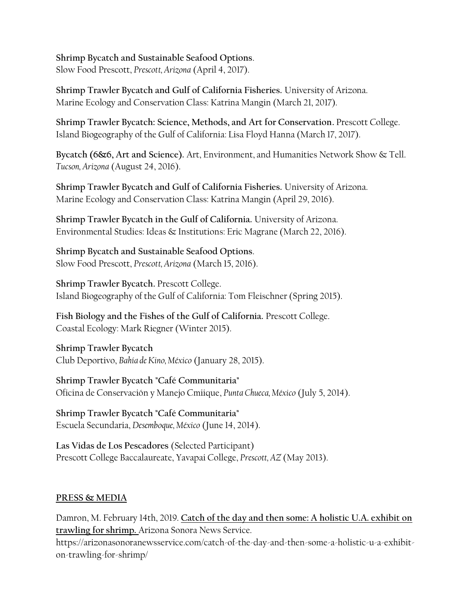**Shrimp Bycatch and Sustainable Seafood Options**. Slow Food Prescott, *Prescott, Arizona* (April 4, 2017).

**Shrimp Trawler Bycatch and Gulf of California Fisheries.** University of Arizona. Marine Ecology and Conservation Class: Katrina Mangin (March 21, 2017).

**Shrimp Trawler Bycatch: Science, Methods, and Art for Conservation.** Prescott College. Island Biogeography of the Gulf of California: Lisa Floyd Hanna (March 17, 2017).

**Bycatch (6&6, Art and Science).** Art, Environment, and Humanities Network Show & Tell. *Tucson, Arizona* (August 24, 2016).

**Shrimp Trawler Bycatch and Gulf of California Fisheries.** University of Arizona. Marine Ecology and Conservation Class: Katrina Mangin (April 29, 2016).

**Shrimp Trawler Bycatch in the Gulf of California.** University of Arizona. Environmental Studies: Ideas & Institutions: Eric Magrane (March 22, 2016).

**Shrimp Bycatch and Sustainable Seafood Options**. Slow Food Prescott, *Prescott, Arizona* (March 15, 2016).

**Shrimp Trawler Bycatch.** Prescott College. Island Biogeography of the Gulf of California: Tom Fleischner (Spring 2015).

**Fish Biology and the Fishes of the Gulf of California.** Prescott College. Coastal Ecology: Mark Riegner (Winter 2015).

**Shrimp Trawler Bycatch** Club Deportivo, *Bahía de Kino, México* (January 28, 2015).

**Shrimp Trawler Bycatch "Café Communitaria"** Oficina de Conservación y Manejo Cmiique, *Punta Chueca, México* (July 5, 2014).

**Shrimp Trawler Bycatch "Café Communitaria"** Escuela Secundaria, *Desemboque, México* (June 14, 2014).

**Las Vidas de Los Pescadores** (Selected Participant) Prescott College Baccalaureate, Yavapai College, *Prescott, AZ* (May 2013).

## **PRESS & MEDIA**

Damron, M. February 14th, 2019. **Catch of the day and then some: A holistic U.A. exhibit on trawling for shrimp.** Arizona Sonora News Service.

https://arizonasonoranewsservice.com/catch-of-the-day-and-then-some-a-holistic-u-a-exhibiton-trawling-for-shrimp/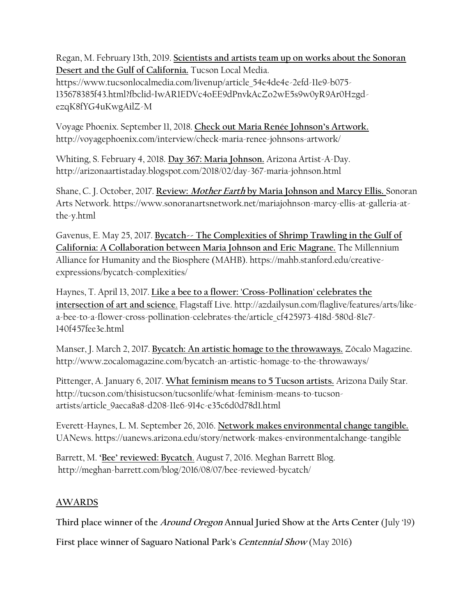Regan, M. February 13th, 2019. **Scientists and artists team up on works about the Sonoran Desert and the Gulf of California.** Tucson Local Media.

https://www.tucsonlocalmedia.com/livenup/article\_54e4de4e-2efd-11e9-b075- 135678385f43.html?fbclid=IwAR1EDVc4oEE9dPnvkAcZo2wE5s9w0yR9Ar0HzgdezqK8fYG4uKwgAilZ-M

Voyage Phoenix. September 11, 2018. **Check out Maria Renée Johnson's Artwork.** http://voyagephoenix.com/interview/check-maria-renee-johnsons-artwork/

Whiting, S. February 4, 2018. **Day 367: Maria Johnson.** Arizona Artist-A-Day. http://arizonaartistaday.blogspot.com/2018/02/day-367-maria-johnson.html

Shane, C. J. October, 2017. **Review: Mother Earth by Maria Johnson and Marcy Ellis.** Sonoran Arts Network. https://www.sonoranartsnetwork.net/mariajohnson-marcy-ellis-at-galleria-atthe-y.html

Gavenus, E. May 25, 2017. **Bycatch-- The Complexities of Shrimp Trawling in the Gulf of California: A Collaboration between Maria Johnson and Eric Magrane.** The Millennium Alliance for Humanity and the Biosphere (MAHB). https://mahb.stanford.edu/creativeexpressions/bycatch-complexities/

Haynes, T. April 13, 2017. **Like a bee to a flower: 'Cross-Pollination' celebrates the intersection of art and science**. Flagstaff Live. http://azdailysun.com/flaglive/features/arts/likea-bee-to-a-flower-cross-pollination-celebrates-the/article\_cf425973-418d-580d-81e7- 140f457fee3e.html

Manser, J. March 2, 2017. **Bycatch: An artistic homage to the throwaways.** Zócalo Magazine. http://www.zocalomagazine.com/bycatch-an-artistic-homage-to-the-throwaways/

Pittenger, A. January 6, 2017. **What feminism means to 5 Tucson artists.** Arizona Daily Star. http://tucson.com/thisistucson/tucsonlife/what-feminism-means-to-tucsonartists/article\_9aeca8a8-d208-11e6-914c-e35c6d0d78d1.html

Everett-Haynes, L. M. September 26, 2016. **Network makes environmental change tangible.**  UANews. https://uanews.arizona.edu/story/network-makes-environmentalchange-tangible

Barrett, M. **'Bee' reviewed: Bycatch**. August 7, 2016. Meghan Barrett Blog. http://meghan-barrett.com/blog/2016/08/07/bee-reviewed-bycatch/

# **AWARDS**

**Third place winner of the Around Oregon Annual Juried Show at the Arts Center** (July '19)

**First place winner of Saguaro National Park's Centennial Show** (May 2016)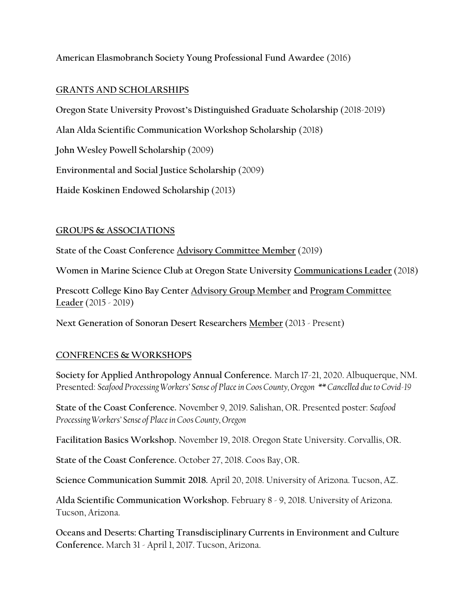**American Elasmobranch Society Young Professional Fund Awardee** (2016)

#### **GRANTS AND SCHOLARSHIPS**

**Oregon State University Provost's Distinguished Graduate Scholarship** (2018‐2019)

**Alan Alda Scientific Communication Workshop Scholarship** (2018)

**John Wesley Powell Scholarship** (2009)

**Environmental and Social Justice Scholarship** (2009)

**Haide Koskinen Endowed Scholarship** (2013)

#### **GROUPS & ASSOCIATIONS**

**State of the Coast Conference Advisory Committee Member** (2019)

**Women in Marine Science Club at Oregon State University Communications Leader** (2018)

**Prescott College Kino Bay Center Advisory Group Member and Program Committee Leader** (2015 - 2019)

**Next Generation of Sonoran Desert Researchers Member** (2013 - Present)

## **CONFRENCES & WORKSHOPS**

**Society for Applied Anthropology Annual Conference.** March 17-21, 2020. Albuquerque, NM. Presented: *Seafood Processing Workers' Sense of Place in Coos County, Oregon \*\* Cancelled due to Covid-19*

**State of the Coast Conference.** November 9, 2019. Salishan, OR. Presented poster: *Seafood Processing Workers' Sense of Place in Coos County, Oregon*

**Facilitation Basics Workshop.** November 19, 2018. Oregon State University. Corvallis, OR.

**State of the Coast Conference.** October 27, 2018. Coos Bay, OR.

**Science Communication Summit 2018.** April 20, 2018. University of Arizona. Tucson, AZ.

**Alda Scientific Communication Workshop.** February 8 - 9, 2018. University of Arizona. Tucson, Arizona.

**Oceans and Deserts: Charting Transdisciplinary Currents in Environment and Culture Conference.** March 31 - April 1, 2017. Tucson, Arizona.